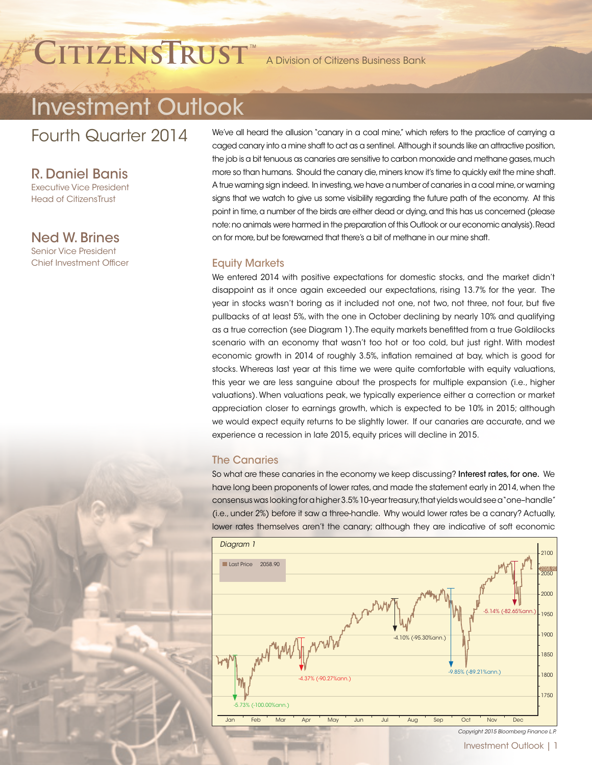# CITIZENSTRUST<sup>"</sup> A Division of Citizens Business Bank

## Investment Outlook

Fourth Quarter 2014

R. Daniel Banis

Executive Vice President Head of CitizensTrust

Ned W. Brines Senior Vice President Chief Investment Officer We've all heard the allusion "canary in a coal mine," which refers to the practice of carrying a caged canary into a mine shaft to act as a sentinel. Although it sounds like an attractive position, the job is a bit tenuous as canaries are sensitive to carbon monoxide and methane gases, much more so than humans. Should the canary die, miners know it's time to quickly exit the mine shaft. A true warning sign indeed. In investing, we have a number of canaries in a coal mine, or warning signs that we watch to give us some visibility regarding the future path of the economy. At this point in time, a number of the birds are either dead or dying, and this has us concerned (please note: no animals were harmed in the preparation of this Outlook or our economic analysis). Read on for more, but be forewarned that there's a bit of methane in our mine shaft.

#### Equity Markets

We entered 2014 with positive expectations for domestic stocks, and the market didn't disappoint as it once again exceeded our expectations, rising 13.7% for the year. The year in stocks wasn't boring as it included not one, not two, not three, not four, but five pullbacks of at least 5%, with the one in October declining by nearly 10% and qualifying as a true correction (see Diagram 1). The equity markets benefitted from a true Goldilocks scenario with an economy that wasn't too hot or too cold, but just right. With modest economic growth in 2014 of roughly 3.5%, inflation remained at bay, which is good for stocks. Whereas last year at this time we were quite comfortable with equity valuations, this year we are less sanguine about the prospects for multiple expansion (i.e., higher valuations). When valuations peak, we typically experience either a correction or market appreciation closer to earnings growth, which is expected to be 10% in 2015; although we would expect equity returns to be slightly lower. If our canaries are accurate, and we experience a recession in late 2015, equity prices will decline in 2015.

#### The Canaries

So what are these canaries in the economy we keep discussing? Interest rates, for one. We have long been proponents of lower rates, and made the statement early in 2014, when the consensus was looking for a higher 3.5% 10-year treasury, that yields would see a "one–handle" (i.e., under 2%) before it saw a three-handle. Why would lower rates be a canary? Actually, lower rates themselves aren't the canary; although they are indicative of soft economic



Investment Outlook | 1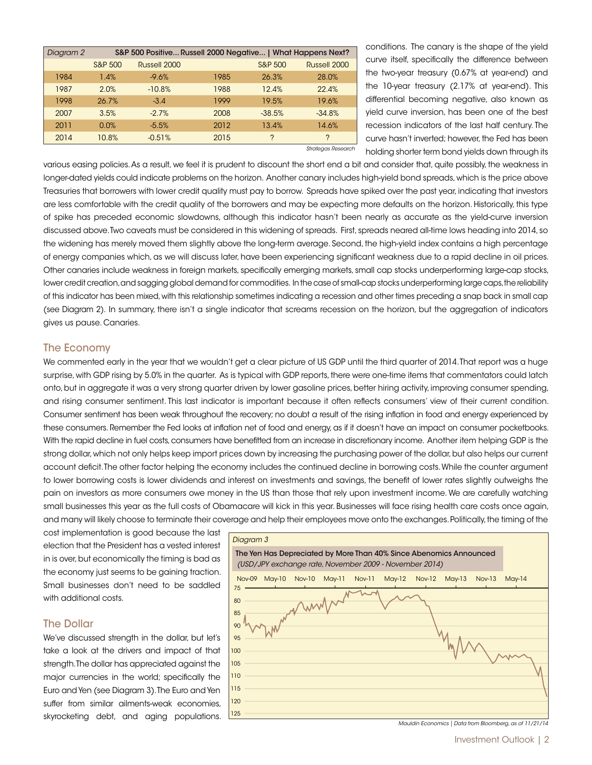| Diagram 2 |         |              | S&P 500 Positive Russell 2000 Negative   What Happens Next? |                    |               |
|-----------|---------|--------------|-------------------------------------------------------------|--------------------|---------------|
|           | S&P 500 | Russell 2000 |                                                             | <b>S&amp;P 500</b> | Russell 2000  |
| 1984      | 1.4%    | $-9.6%$      | 1985                                                        | 26.3%              | 28.0%         |
| 1987      | 2.0%    | $-10.8%$     | 1988                                                        | 12.4%              | 22.4%         |
| 1998      | 26.7%   | $-3.4$       | 1999                                                        | 19.5%              | 19.6%         |
| 2007      | 3.5%    | $-2.7%$      | 2008                                                        | $-38.5%$           | $-34.8%$      |
| 2011      | 0.0%    | $-5.5%$      | 2012                                                        | 13.4%              | 14.6%         |
| 2014      | 10.8%   | $-0.51%$     | 2015                                                        | $\mathcal{P}$      | $\mathcal{P}$ |

conditions. The canary is the shape of the yield curve itself, specifically the difference between the two-year treasury (0.67% at year-end) and the 10-year treasury (2.17% at year-end). This differential becoming negative, also known as yield curve inversion, has been one of the best recession indicators of the last half century. The curve hasn't inverted; however, the Fed has been holding shorter term bond yields down through its

*Strategas Research*

various easing policies. As a result, we feel it is prudent to discount the short end a bit and consider that, quite possibly, the weakness in longer-dated yields could indicate problems on the horizon. Another canary includes high-yield bond spreads, which is the price above Treasuries that borrowers with lower credit quality must pay to borrow. Spreads have spiked over the past year, indicating that investors are less comfortable with the credit quality of the borrowers and may be expecting more defaults on the horizon. Historically, this type of spike has preceded economic slowdowns, although this indicator hasn't been nearly as accurate as the yield-curve inversion discussed above. Two caveats must be considered in this widening of spreads. First, spreads neared all-time lows heading into 2014, so the widening has merely moved them slightly above the long-term average. Second, the high-yield index contains a high percentage of energy companies which, as we will discuss later, have been experiencing significant weakness due to a rapid decline in oil prices. Other canaries include weakness in foreign markets, specifically emerging markets, small cap stocks underperforming large-cap stocks, lower credit creation, and sagging global demand for commodities. In the case of small-cap stocks underperforming large caps, the reliability of this indicator has been mixed, with this relationship sometimes indicating a recession and other times preceding a snap back in small cap (see Diagram 2). In summary, there isn't a single indicator that screams recession on the horizon, but the aggregation of indicators gives us pause. Canaries.

#### The Economy

We commented early in the year that we wouldn't get a clear picture of US GDP until the third quarter of 2014. That report was a huge surprise, with GDP rising by 5.0% in the quarter. As is typical with GDP reports, there were one-time items that commentators could latch onto, but in aggregate it was a very strong quarter driven by lower gasoline prices, better hiring activity, improving consumer spending, and rising consumer sentiment. This last indicator is important because it often reflects consumers' view of their current condition. Consumer sentiment has been weak throughout the recovery; no doubt a result of the rising inflation in food and energy experienced by these consumers. Remember the Fed looks at inflation net of food and energy, as if it doesn't have an impact on consumer pocketbooks. With the rapid decline in fuel costs, consumers have benefitted from an increase in discretionary income. Another item helping GDP is the strong dollar, which not only helps keep import prices down by increasing the purchasing power of the dollar, but also helps our current account deficit. The other factor helping the economy includes the continued decline in borrowing costs. While the counter argument to lower borrowing costs is lower dividends and interest on investments and savings, the benefit of lower rates slightly outweighs the pain on investors as more consumers owe money in the US than those that rely upon investment income. We are carefully watching small businesses this year as the full costs of Obamacare will kick in this year. Businesses will face rising health care costs once again, and many will likely choose to terminate their coverage and help their employees move onto the exchanges. Politically, the timing of the

cost implementation is good because the last election that the President has a vested interest in is over, but economically the timing is bad as the economy just seems to be gaining traction. Small businesses don't need to be saddled with additional costs.

#### The Dollar

We've discussed strength in the dollar, but let's take a look at the drivers and impact of that strength. The dollar has appreciated against the major currencies in the world; specifically the Euro and Yen (see Diagram 3). The Euro and Yen suffer from similar ailments-weak economies, skyrocketing debt, and aging populations.



Investment Outlook | 2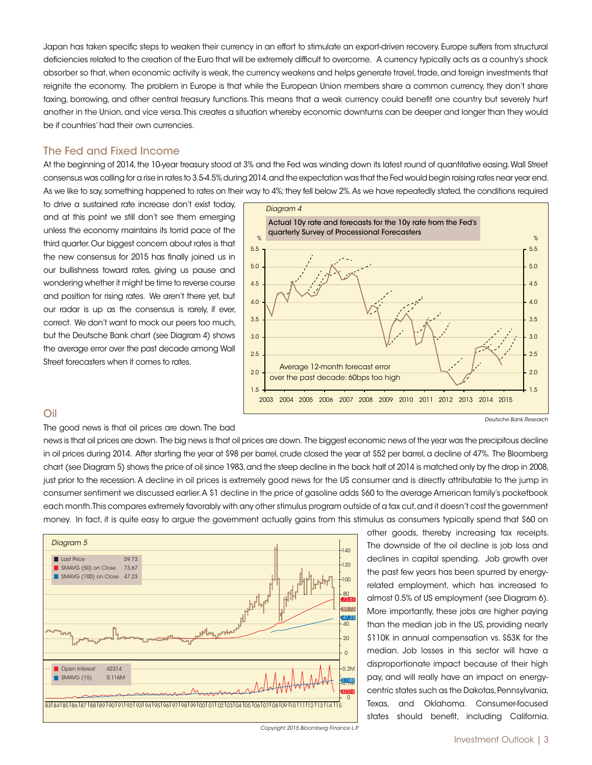Japan has taken specific steps to weaken their currency in an effort to stimulate an export-driven recovery. Europe suffers from structural deficiencies related to the creation of the Euro that will be extremely difficult to overcome. A currency typically acts as a country's shock absorber so that, when economic activity is weak, the currency weakens and helps generate travel, trade, and foreign investments that reignite the economy. The problem in Europe is that while the European Union members share a common currency, they don't share taxing, borrowing, and other central treasury functions. This means that a weak currency could benefit one country but severely hurt another in the Union, and vice versa. This creates a situation whereby economic downturns can be deeper and longer than they would be if countries' had their own currencies.

#### The Fed and Fixed Income

At the beginning of 2014, the 10-year treasury stood at 3% and the Fed was winding down its latest round of quantitative easing. Wall Street consensus was calling for a rise in rates to 3.5-4.5% during 2014, and the expectation was that the Fed would begin raising rates near year end. As we like to say, something happened to rates on their way to 4%; they fell below 2%. As we have repeatedly stated, the conditions required

to drive a sustained rate increase don't exist today, and at this point we still don't see them emerging unless the economy maintains its torrid pace of the third quarter. Our biggest concern about rates is that the new consensus for 2015 has finally joined us in our bullishness toward rates, giving us pause and wondering whether it might be time to reverse course and position for rising rates. We aren't there yet, but our radar is up as the consensus is rarely, if ever, correct. We don't want to mock our peers too much, but the Deutsche Bank chart (see Diagram 4) shows the average error over the past decade among Wall Street forecasters when it comes to rates.



#### Oil

The good news is that oil prices are down. The bad

news is that oil prices are down. The big news is that oil prices are down. The biggest economic news of the year was the precipitous decline in oil prices during 2014. After starting the year at \$98 per barrel, crude closed the year at \$52 per barrel, a decline of 47%. The Bloomberg chart (see Diagram 5) shows the price of oil since 1983, and the steep decline in the back half of 2014 is matched only by the drop in 2008, just prior to the recession. A decline in oil prices is extremely good news for the US consumer and is directly attributable to the jump in consumer sentiment we discussed earlier. A \$1 decline in the price of gasoline adds \$60 to the average American family's pocketbook each month. This compares extremely favorably with any other stimulus program outside of a tax cut, and it doesn't cost the government money. In fact, it is quite easy to argue the government actually gains from this stimulus as consumers typically spend that \$60 on



other goods, thereby increasing tax receipts. The downside of the oil decline is job loss and declines in capital spending. Job growth over the past few years has been spurred by energyrelated employment, which has increased to almost 0.5% of US employment (see Diagram 6). More importantly, these jobs are higher paying than the median job in the US, providing nearly \$110K in annual compensation vs. \$53K for the median. Job losses in this sector will have a disproportionate impact because of their high pay, and will really have an impact on energycentric states such as the Dakotas, Pennsylvania, Texas, and Oklahoma. Consumer-focused states should benefit, including California.

*Copyright 2015 Bloomberg Finance L.P.*